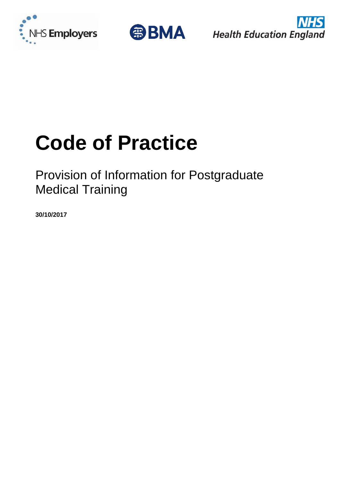





# **Code of Practice**

# Provision of Information for Postgraduate Medical Training

**30/10/2017**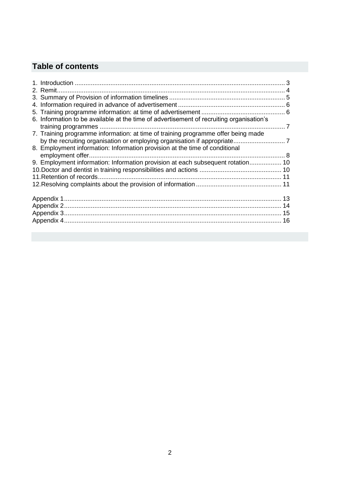# **Table of contents**

| 6. Information to be available at the time of advertisement of recruiting organisation's |  |
|------------------------------------------------------------------------------------------|--|
|                                                                                          |  |
| 7. Training programme information: at time of training programme offer being made        |  |
|                                                                                          |  |
| 8. Employment information: Information provision at the time of conditional              |  |
|                                                                                          |  |
| 9. Employment information: Information provision at each subsequent rotation 10          |  |
|                                                                                          |  |
|                                                                                          |  |
|                                                                                          |  |
|                                                                                          |  |
|                                                                                          |  |
|                                                                                          |  |
|                                                                                          |  |
|                                                                                          |  |
|                                                                                          |  |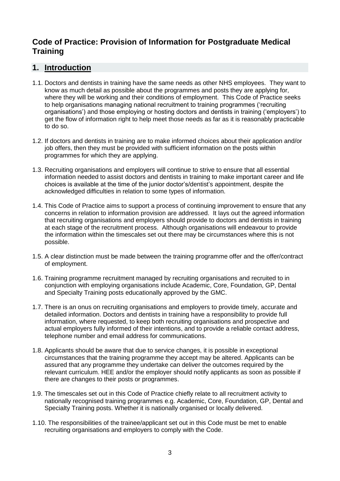# **Code of Practice: Provision of Information for Postgraduate Medical Training**

#### <span id="page-2-0"></span>**1. Introduction**

- 1.1. Doctors and dentists in training have the same needs as other NHS employees. They want to know as much detail as possible about the programmes and posts they are applying for, where they will be working and their conditions of employment. This Code of Practice seeks to help organisations managing national recruitment to training programmes ('recruiting organisations') and those employing or hosting doctors and dentists in training ('employers') to get the flow of information right to help meet those needs as far as it is reasonably practicable to do so.
- 1.2. If doctors and dentists in training are to make informed choices about their application and/or job offers, then they must be provided with sufficient information on the posts within programmes for which they are applying.
- 1.3. Recruiting organisations and employers will continue to strive to ensure that all essential information needed to assist doctors and dentists in training to make important career and life choices is available at the time of the junior doctor's/dentist's appointment, despite the acknowledged difficulties in relation to some types of information.
- 1.4. This Code of Practice aims to support a process of continuing improvement to ensure that any concerns in relation to information provision are addressed. It lays out the agreed information that recruiting organisations and employers should provide to doctors and dentists in training at each stage of the recruitment process. Although organisations will endeavour to provide the information within the timescales set out there may be circumstances where this is not possible.
- 1.5. A clear distinction must be made between the training programme offer and the offer/contract of employment.
- 1.6. Training programme recruitment managed by recruiting organisations and recruited to in conjunction with employing organisations include Academic, Core, Foundation, GP, Dental and Specialty Training posts educationally approved by the GMC.
- 1.7. There is an onus on recruiting organisations and employers to provide timely, accurate and detailed information. Doctors and dentists in training have a responsibility to provide full information, where requested, to keep both recruiting organisations and prospective and actual employers fully informed of their intentions, and to provide a reliable contact address, telephone number and email address for communications.
- 1.8. Applicants should be aware that due to service changes, it is possible in exceptional circumstances that the training programme they accept may be altered. Applicants can be assured that any programme they undertake can deliver the outcomes required by the relevant curriculum. HEE and/or the employer should notify applicants as soon as possible if there are changes to their posts or programmes.
- 1.9. The timescales set out in this Code of Practice chiefly relate to all recruitment activity to nationally recognised training programmes e.g. Academic, Core, Foundation, GP, Dental and Specialty Training posts. Whether it is nationally organised or locally delivered.
- 1.10. The responsibilities of the trainee/applicant set out in this Code must be met to enable recruiting organisations and employers to comply with the Code.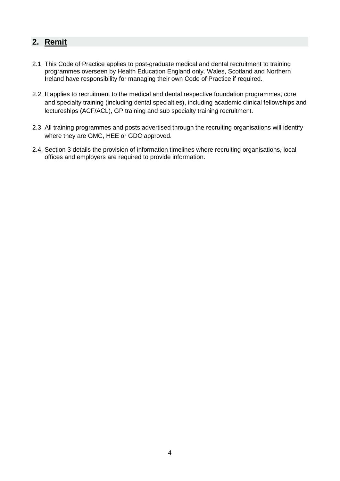# <span id="page-3-0"></span>**2. Remit**

- 2.1. This Code of Practice applies to post-graduate medical and dental recruitment to training programmes overseen by Health Education England only. Wales, Scotland and Northern Ireland have responsibility for managing their own Code of Practice if required.
- 2.2. It applies to recruitment to the medical and dental respective foundation programmes, core and specialty training (including dental specialties), including academic clinical fellowships and lectureships (ACF/ACL), GP training and sub specialty training recruitment.
- 2.3. All training programmes and posts advertised through the recruiting organisations will identify where they are GMC, HEE or GDC approved.
- 2.4. Section 3 details the provision of information timelines where recruiting organisations, local offices and employers are required to provide information.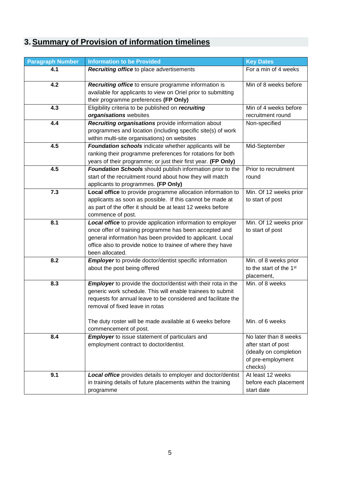# <span id="page-4-0"></span>**3. Summary of Provision of information timelines**

| <b>Paragraph Number</b> | <b>Information to be Provided</b>                                                                                                                                                                                                                                    | <b>Key Dates</b>                                                                                       |  |  |
|-------------------------|----------------------------------------------------------------------------------------------------------------------------------------------------------------------------------------------------------------------------------------------------------------------|--------------------------------------------------------------------------------------------------------|--|--|
| 4.1                     | Recruiting office to place advertisements                                                                                                                                                                                                                            | For a min of 4 weeks                                                                                   |  |  |
| 4.2                     | Recruiting office to ensure programme information is<br>available for applicants to view on Oriel prior to submitting<br>their programme preferences (FP Only)                                                                                                       | Min of 8 weeks before                                                                                  |  |  |
| 4.3                     | Eligibility criteria to be published on recruiting<br>organisations websites                                                                                                                                                                                         | Min of 4 weeks before<br>recruitment round                                                             |  |  |
| 4.4                     | Recruiting organisations provide information about<br>programmes and location (including specific site(s) of work<br>within multi-site organisations) on websites                                                                                                    | Non-specified                                                                                          |  |  |
| 4.5                     | Foundation schools indicate whether applicants will be<br>ranking their programme preferences for rotations for both<br>years of their programme; or just their first year. (FP Only)                                                                                | Mid-September                                                                                          |  |  |
| 4.5                     | Foundation Schools should publish information prior to the<br>start of the recruitment round about how they will match<br>applicants to programmes. (FP Only)                                                                                                        | Prior to recruitment<br>round                                                                          |  |  |
| 7.3                     | Local office to provide programme allocation information to<br>applicants as soon as possible. If this cannot be made at<br>as part of the offer it should be at least 12 weeks before<br>commence of post.                                                          | Min. Of 12 weeks prior<br>to start of post                                                             |  |  |
| 8.1                     | Local office to provide application information to employer<br>once offer of training programme has been accepted and<br>general information has been provided to applicant. Local<br>office also to provide notice to trainee of where they have<br>been allocated. | Min. Of 12 weeks prior<br>to start of post                                                             |  |  |
| 8.2                     | <b>Employer</b> to provide doctor/dentist specific information<br>about the post being offered                                                                                                                                                                       | Min. of 8 weeks prior<br>to the start of the 1 <sup>st</sup><br>placement,                             |  |  |
| 8.3                     | <b>Employer</b> to provide the doctor/dentist with their rota in the<br>generic work schedule. This will enable trainees to submit<br>requests for annual leave to be considered and facilitate the<br>removal of fixed leave in rotas                               | Min. of 8 weeks                                                                                        |  |  |
|                         | The duty roster will be made available at 6 weeks before<br>commencement of post.                                                                                                                                                                                    | Min. of 6 weeks                                                                                        |  |  |
| 8.4                     | <b>Employer</b> to issue statement of particulars and<br>employment contract to doctor/dentist.                                                                                                                                                                      | No later than 8 weeks<br>after start of post<br>(ideally on completion<br>of pre-employment<br>checks) |  |  |
| 9.1                     | Local office provides details to employer and doctor/dentist<br>in training details of future placements within the training<br>programme                                                                                                                            | At least 12 weeks<br>before each placement<br>start date                                               |  |  |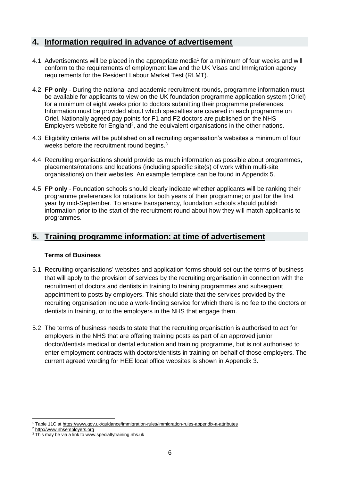#### <span id="page-5-0"></span>**4. Information required in advance of advertisement**

- 4.1. Advertisements will be placed in the appropriate media<sup>1</sup> for a minimum of four weeks and will conform to the requirements of employment law and the UK Visas and Immigration agency requirements for the Resident Labour Market Test (RLMT).
- 4.2. **FP only** During the national and academic recruitment rounds, programme information must be available for applicants to view on the UK foundation programme application system (Oriel) for a minimum of eight weeks prior to doctors submitting their programme preferences. Information must be provided about which specialties are covered in each programme on Oriel. Nationally agreed pay points for F1 and F2 doctors are published on the NHS Employers website for England<sup>2</sup>, and the equivalent organisations in the other nations.
- 4.3. Eligibility criteria will be published on all recruiting organisation's websites a minimum of four weeks before the recruitment round begins.<sup>3</sup>
- 4.4. Recruiting organisations should provide as much information as possible about programmes, placements/rotations and locations (including specific site(s) of work within multi-site organisations) on their websites. An example template can be found in Appendix 5.
- 4.5. **FP only** Foundation schools should clearly indicate whether applicants will be ranking their programme preferences for rotations for both years of their programme; or just for the first year by mid-September. To ensure transparency, foundation schools should publish information prior to the start of the recruitment round about how they will match applicants to programmes.

#### <span id="page-5-1"></span>**5. Training programme information: at time of advertisement**

#### **Terms of Business**

- 5.1. Recruiting organisations' websites and application forms should set out the terms of business that will apply to the provision of services by the recruiting organisation in connection with the recruitment of doctors and dentists in training to training programmes and subsequent appointment to posts by employers. This should state that the services provided by the recruiting organisation include a work-finding service for which there is no fee to the doctors or dentists in training, or to the employers in the NHS that engage them.
- 5.2. The terms of business needs to state that the recruiting organisation is authorised to act for employers in the NHS that are offering training posts as part of an approved junior doctor/dentists medical or dental education and training programme, but is not authorised to enter employment contracts with doctors/dentists in training on behalf of those employers. The current agreed wording for HEE local office websites is shown in Appendix 3.

<sup>-</sup><sup>1</sup> Table 11C at https://www.gov.uk/guidance/immigration-rules/immigration-rules-appendix-a-attributes

<sup>2</sup> [http://www.nhsemployers.org](http://www.nhsemployers.org/Aboutus/Publications/PayCirculars/Pages/PayCircular-MD-1-2010.aspx)

<sup>&</sup>lt;sup>3</sup> This may be via a link t[o www.specialtytraining.nhs.uk](http://www.specialtytraining.nhs.uk/)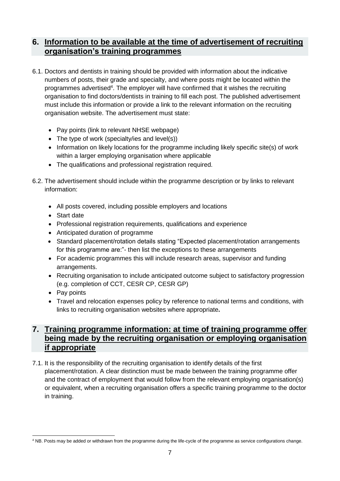### <span id="page-6-0"></span>**6. Information to be available at the time of advertisement of recruiting organisation's training programmes**

- 6.1. Doctors and dentists in training should be provided with information about the indicative numbers of posts, their grade and specialty, and where posts might be located within the programmes advertised<sup>4</sup>. The employer will have confirmed that it wishes the recruiting organisation to find doctors/dentists in training to fill each post. The published advertisement must include this information or provide a link to the relevant information on the recruiting organisation website. The advertisement must state:
	- Pay points (link to relevant NHSE webpage)
	- The type of work (specialty/ies and level(s))
	- Information on likely locations for the programme including likely specific site(s) of work within a larger employing organisation where applicable
	- The qualifications and professional registration required.
- 6.2. The advertisement should include within the programme description or by links to relevant information:
	- All posts covered, including possible employers and locations
	- Start date
	- Professional registration requirements, qualifications and experience
	- Anticipated duration of programme
	- Standard placement/rotation details stating "Expected placement/rotation arrangements for this programme are:"- then list the exceptions to these arrangements
	- For academic programmes this will include research areas, supervisor and funding arrangements.
	- Recruiting organisation to include anticipated outcome subject to satisfactory progression (e.g. completion of CCT, CESR CP, CESR GP)
	- Pay points
	- Travel and relocation expenses policy by reference to national terms and conditions, with links to recruiting organisation websites where appropriate**.**

# <span id="page-6-1"></span>**7. Training programme information: at time of training programme offer being made by the recruiting organisation or employing organisation if appropriate**

7.1. It is the responsibility of the recruiting organisation to identify details of the first placement/rotation. A clear distinction must be made between the training programme offer and the contract of employment that would follow from the relevant employing organisation(s) or equivalent, when a recruiting organisation offers a specific training programme to the doctor in training.

<sup>-</sup><sup>4</sup> NB. Posts may be added or withdrawn from the programme during the life-cycle of the programme as service configurations change.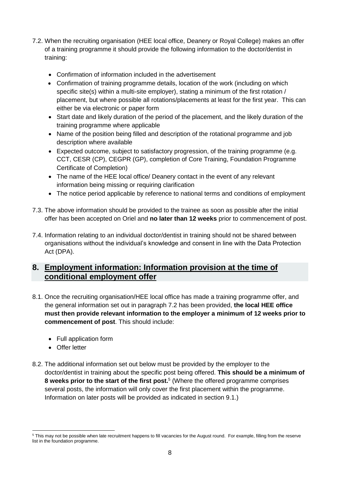- 7.2. When the recruiting organisation (HEE local office, Deanery or Royal College) makes an offer of a training programme it should provide the following information to the doctor/dentist in training:
	- Confirmation of information included in the advertisement
	- Confirmation of training programme details, location of the work (including on which specific site(s) within a multi-site employer), stating a minimum of the first rotation / placement, but where possible all rotations/placements at least for the first year. This can either be via electronic or paper form
	- Start date and likely duration of the period of the placement, and the likely duration of the training programme where applicable
	- Name of the position being filled and description of the rotational programme and job description where available
	- Expected outcome, subject to satisfactory progression, of the training programme (e.g. CCT, CESR (CP), CEGPR (GP), completion of Core Training, Foundation Programme Certificate of Completion)
	- The name of the HEE local office/ Deanery contact in the event of any relevant information being missing or requiring clarification
	- The notice period applicable by reference to national terms and conditions of employment
- 7.3. The above information should be provided to the trainee as soon as possible after the initial offer has been accepted on Oriel and **no later than 12 weeks** prior to commencement of post.
- 7.4. Information relating to an individual doctor/dentist in training should not be shared between organisations without the individual's knowledge and consent in line with the Data Protection Act (DPA).

#### <span id="page-7-0"></span>**8. Employment information: Information provision at the time of conditional employment offer**

- 8.1. Once the recruiting organisation/HEE local office has made a training programme offer, and the general information set out in paragraph 7.2 has been provided, **the local HEE office must then provide relevant information to the employer a minimum of 12 weeks prior to commencement of post**. This should include:
	- Full application form
	- Offer letter

-

8.2. The additional information set out below must be provided by the employer to the doctor/dentist in training about the specific post being offered. **This should be a minimum of 8 weeks prior to the start of the first post.**<sup>5</sup> (Where the offered programme comprises several posts, the information will only cover the first placement within the programme. Information on later posts will be provided as indicated in section 9.1.)

<sup>&</sup>lt;sup>5</sup> This may not be possible when late recruitment happens to fill vacancies for the August round. For example, filling from the reserve list in the foundation programme.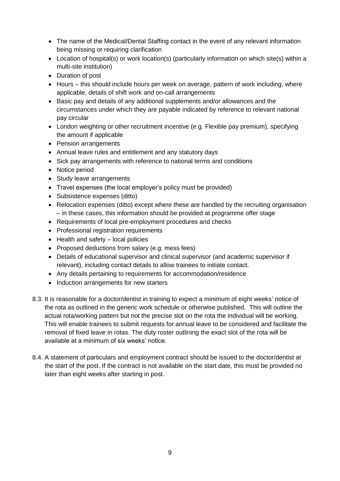- The name of the Medical/Dental Staffing contact in the event of any relevant information being missing or requiring clarification
- Location of hospital(s) or work location(s) (particularly information on which site(s) within a multi-site institution)
- Duration of post
- Hours this should include hours per week on average, pattern of work including, where applicable, details of shift work and on-call arrangements
- Basic pay and details of any additional supplements and/or allowances and the circumstances under which they are payable indicated by reference to relevant national pay circular
- London weighting or other recruitment incentive (e.g. Flexible pay premium), specifying the amount if applicable
- Pension arrangements
- Annual leave rules and entitlement and any statutory days
- Sick pay arrangements with reference to national terms and conditions
- Notice period
- Study leave arrangements
- Travel expenses (the local employer's policy must be provided)
- Subsistence expenses (ditto)
- Relocation expenses (ditto) except where these are handled by the recruiting organisation – in these cases, this information should be provided at programme offer stage
- Requirements of local pre-employment procedures and checks
- Professional registration requirements
- Health and safety local policies
- Proposed deductions from salary (e.g. mess fees)
- Details of educational supervisor and clinical supervisor (and academic supervisor if relevant), including contact details to allow trainees to initiate contact.
- Any details pertaining to requirements for accommodation/residence
- Induction arrangements for new starters
- 8.3. It is reasonable for a doctor/dentist in training to expect a minimum of eight weeks' notice of the rota as outlined in the generic work schedule or otherwise published. This will outline the actual rota/working pattern but not the precise slot on the rota the individual will be working. This will enable trainees to submit requests for annual leave to be considered and facilitate the removal of fixed leave in rotas. The duty roster outlining the exact slot of the rota will be available at a minimum of six weeks' notice.
- 8.4. A statement of particulars and employment contract should be issued to the doctor/dentist at the start of the post. If the contract is not available on the start date, this must be provided no later than eight weeks after starting in post.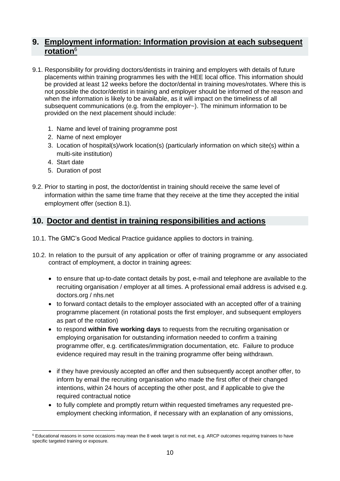#### <span id="page-9-0"></span>**9. Employment information: Information provision at each subsequent rotation**<sup>6</sup>

- 9.1. Responsibility for providing doctors/dentists in training and employers with details of future placements within training programmes lies with the HEE local office. This information should be provided at least 12 weeks before the doctor/dental in training moves/rotates. Where this is not possible the doctor/dentist in training and employer should be informed of the reason and when the information is likely to be available, as it will impact on the timeliness of all subsequent communications (e.g. from the employer~). The minimum information to be provided on the next placement should include:
	- 1. Name and level of training programme post
	- 2. Name of next employer
	- 3. Location of hospital(s)/work location(s) (particularly information on which site(s) within a multi-site institution)
	- 4. Start date
	- 5. Duration of post
- 9.2. Prior to starting in post, the doctor/dentist in training should receive the same level of information within the same time frame that they receive at the time they accepted the initial employment offer (section 8.1).

#### <span id="page-9-1"></span>**10. Doctor and dentist in training responsibilities and actions**

- 10.1. The GMC's Good Medical Practice guidance applies to doctors in training.
- 10.2. In relation to the pursuit of any application or offer of training programme or any associated contract of employment, a doctor in training agrees:
	- to ensure that up-to-date contact details by post, e-mail and telephone are available to the recruiting organisation / employer at all times. A professional email address is advised e.g. doctors.org / nhs.net
	- to forward contact details to the employer associated with an accepted offer of a training programme placement (in rotational posts the first employer, and subsequent employers as part of the rotation)
	- to respond **within five working days** to requests from the recruiting organisation or employing organisation for outstanding information needed to confirm a training programme offer, e.g. certificates/immigration documentation, etc. Failure to produce evidence required may result in the training programme offer being withdrawn.
	- if they have previously accepted an offer and then subsequently accept another offer, to inform by email the recruiting organisation who made the first offer of their changed intentions, within 24 hours of accepting the other post, and if applicable to give the required contractual notice
	- to fully complete and promptly return within requested timeframes any requested preemployment checking information, if necessary with an explanation of any omissions,

<sup>-</sup><sup>6</sup> Educational reasons in some occasions may mean the 8 week target is not met, e.g. ARCP outcomes requiring trainees to have specific targeted training or exposure.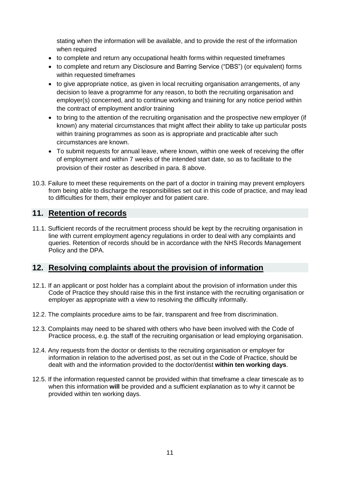stating when the information will be available, and to provide the rest of the information when required

- to complete and return any occupational health forms within requested timeframes
- to complete and return any Disclosure and Barring Service ("DBS") (or equivalent) forms within requested timeframes
- to give appropriate notice, as given in local recruiting organisation arrangements, of any decision to leave a programme for any reason, to both the recruiting organisation and employer(s) concerned, and to continue working and training for any notice period within the contract of employment and/or training
- to bring to the attention of the recruiting organisation and the prospective new employer (if known) any material circumstances that might affect their ability to take up particular posts within training programmes as soon as is appropriate and practicable after such circumstances are known.
- To submit requests for annual leave, where known, within one week of receiving the offer of employment and within 7 weeks of the intended start date, so as to facilitate to the provision of their roster as described in para. 8 above.
- 10.3. Failure to meet these requirements on the part of a doctor in training may prevent employers from being able to discharge the responsibilities set out in this code of practice, and may lead to difficulties for them, their employer and for patient care.

# <span id="page-10-0"></span>**11. Retention of records**

11.1. Sufficient records of the recruitment process should be kept by the recruiting organisation in line with current employment agency regulations in order to deal with any complaints and queries. Retention of records should be in accordance with the NHS Records Management Policy and the DPA.

#### <span id="page-10-1"></span>**12. Resolving complaints about the provision of information**

- 12.1. If an applicant or post holder has a complaint about the provision of information under this Code of Practice they should raise this in the first instance with the recruiting organisation or employer as appropriate with a view to resolving the difficulty informally.
- 12.2. The complaints procedure aims to be fair, transparent and free from discrimination.
- 12.3. Complaints may need to be shared with others who have been involved with the Code of Practice process, e.g. the staff of the recruiting organisation or lead employing organisation.
- 12.4. Any requests from the doctor or dentists to the recruiting organisation or employer for information in relation to the advertised post, as set out in the Code of Practice, should be dealt with and the information provided to the doctor/dentist **within ten working days**.
- 12.5. If the information requested cannot be provided within that timeframe a clear timescale as to when this information **will** be provided and a sufficient explanation as to why it cannot be provided within ten working days.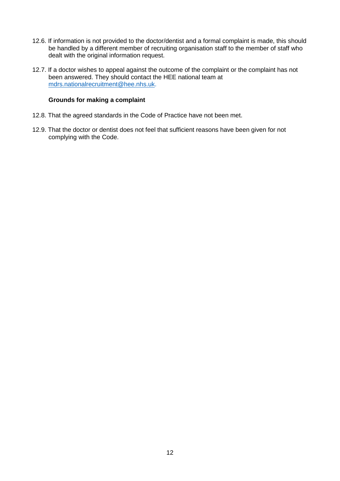- 12.6. If information is not provided to the doctor/dentist and a formal complaint is made, this should be handled by a different member of recruiting organisation staff to the member of staff who dealt with the original information request.
- 12.7. If a doctor wishes to appeal against the outcome of the complaint or the complaint has not been answered. They should contact the HEE national team at [mdrs.nationalrecruitment@hee.nhs.uk.](mailto:mdrs.nationalrecruitment@hee.nhs.uk)

#### **Grounds for making a complaint**

- 12.8. That the agreed standards in the Code of Practice have not been met.
- 12.9. That the doctor or dentist does not feel that sufficient reasons have been given for not complying with the Code.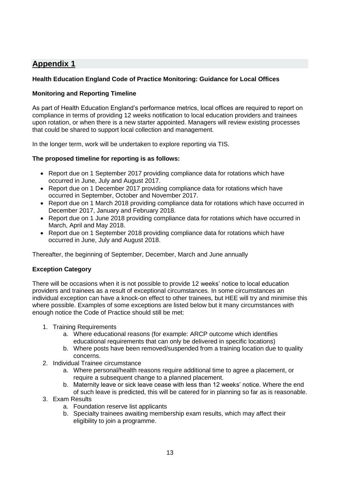#### <span id="page-12-0"></span>**Health Education England Code of Practice Monitoring: Guidance for Local Offices**

#### **Monitoring and Reporting Timeline**

As part of Health Education England's performance metrics, local offices are required to report on compliance in terms of providing 12 weeks notification to local education providers and trainees upon rotation, or when there is a new starter appointed. Managers will review existing processes that could be shared to support local collection and management.

In the longer term, work will be undertaken to explore reporting via TIS.

#### **The proposed timeline for reporting is as follows:**

- Report due on 1 September 2017 providing compliance data for rotations which have occurred in June, July and August 2017.
- Report due on 1 December 2017 providing compliance data for rotations which have occurred in September, October and November 2017.
- Report due on 1 March 2018 providing compliance data for rotations which have occurred in December 2017, January and February 2018.
- Report due on 1 June 2018 providing compliance data for rotations which have occurred in March, April and May 2018.
- Report due on 1 September 2018 providing compliance data for rotations which have occurred in June, July and August 2018.

Thereafter, the beginning of September, December, March and June annually

#### **Exception Category**

There will be occasions when it is not possible to provide 12 weeks' notice to local education providers and trainees as a result of exceptional circumstances. In some circumstances an individual exception can have a knock-on effect to other trainees, but HEE will try and minimise this where possible. Examples of some exceptions are listed below but it many circumstances with enough notice the Code of Practice should still be met:

- 1. Training Requirements
	- a. Where educational reasons (for example: ARCP outcome which identifies educational requirements that can only be delivered in specific locations)
	- b. Where posts have been removed/suspended from a training location due to quality concerns.
- 2. Individual Trainee circumstance
	- a. Where personal/health reasons require additional time to agree a placement, or require a subsequent change to a planned placement.
	- b. Maternity leave or sick leave cease with less than 12 weeks' notice. Where the end of such leave is predicted, this will be catered for in planning so far as is reasonable.
- 3. Exam Results
	- a. Foundation reserve list applicants
	- b. Specialty trainees awaiting membership exam results, which may affect their eligibility to join a programme.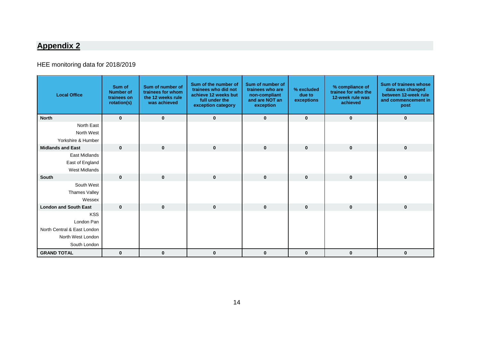# HEE monitoring data for 2018/2019

<span id="page-13-0"></span>

| <b>Local Office</b>          | Sum of<br><b>Number of</b><br>trainees on<br>rotation(s) | Sum of number of<br>trainees for whom<br>the 12 weeks rule<br>was achieved | Sum of the number of<br>trainees who did not<br>achieve 12 weeks but<br>full under the<br>exception category | Sum of number of<br>trainees who are<br>non-compliant<br>and are NOT an<br>exception | % excluded<br>due to<br>exceptions | % compliance of<br>trainee for who the<br>12-week rule was<br>achieved | <b>Sum of trainees whose</b><br>data was changed<br>between 12-week rule<br>and commencement in<br>post |
|------------------------------|----------------------------------------------------------|----------------------------------------------------------------------------|--------------------------------------------------------------------------------------------------------------|--------------------------------------------------------------------------------------|------------------------------------|------------------------------------------------------------------------|---------------------------------------------------------------------------------------------------------|
| <b>North</b>                 | $\mathbf{0}$                                             | $\mathbf{0}$                                                               | $\bf{0}$                                                                                                     | $\mathbf 0$                                                                          | $\mathbf{0}$                       | $\mathbf 0$                                                            | $\mathbf 0$                                                                                             |
| North East                   |                                                          |                                                                            |                                                                                                              |                                                                                      |                                    |                                                                        |                                                                                                         |
| North West                   |                                                          |                                                                            |                                                                                                              |                                                                                      |                                    |                                                                        |                                                                                                         |
| Yorkshire & Humber           |                                                          |                                                                            |                                                                                                              |                                                                                      |                                    |                                                                        |                                                                                                         |
| <b>Midlands and East</b>     | $\mathbf{0}$                                             | $\mathbf{0}$                                                               | $\mathbf 0$                                                                                                  | $\mathbf 0$                                                                          | $\mathbf{0}$                       | $\mathbf 0$                                                            | $\mathbf 0$                                                                                             |
| East Midlands                |                                                          |                                                                            |                                                                                                              |                                                                                      |                                    |                                                                        |                                                                                                         |
| East of England              |                                                          |                                                                            |                                                                                                              |                                                                                      |                                    |                                                                        |                                                                                                         |
| <b>West Midlands</b>         |                                                          |                                                                            |                                                                                                              |                                                                                      |                                    |                                                                        |                                                                                                         |
| <b>South</b>                 | $\mathbf{0}$                                             | $\mathbf{0}$                                                               | $\mathbf 0$                                                                                                  | $\mathbf 0$                                                                          | $\mathbf{0}$                       | $\mathbf{0}$                                                           | $\mathbf 0$                                                                                             |
| South West                   |                                                          |                                                                            |                                                                                                              |                                                                                      |                                    |                                                                        |                                                                                                         |
| <b>Thames Valley</b>         |                                                          |                                                                            |                                                                                                              |                                                                                      |                                    |                                                                        |                                                                                                         |
| Wessex                       |                                                          |                                                                            |                                                                                                              |                                                                                      |                                    |                                                                        |                                                                                                         |
| <b>London and South East</b> | $\mathbf{0}$                                             | $\bf{0}$                                                                   | $\mathbf{0}$                                                                                                 | $\mathbf 0$                                                                          | $\mathbf{0}$                       | $\mathbf 0$                                                            | $\mathbf 0$                                                                                             |
| <b>KSS</b>                   |                                                          |                                                                            |                                                                                                              |                                                                                      |                                    |                                                                        |                                                                                                         |
| London Pan                   |                                                          |                                                                            |                                                                                                              |                                                                                      |                                    |                                                                        |                                                                                                         |
| North Central & East London  |                                                          |                                                                            |                                                                                                              |                                                                                      |                                    |                                                                        |                                                                                                         |
| North West London            |                                                          |                                                                            |                                                                                                              |                                                                                      |                                    |                                                                        |                                                                                                         |
| South London                 |                                                          |                                                                            |                                                                                                              |                                                                                      |                                    |                                                                        |                                                                                                         |
| <b>GRAND TOTAL</b>           | $\mathbf{0}$                                             | $\mathbf 0$                                                                | $\bf{0}$                                                                                                     | $\bf{0}$                                                                             | $\bf{0}$                           | 0                                                                      | $\bf{0}$                                                                                                |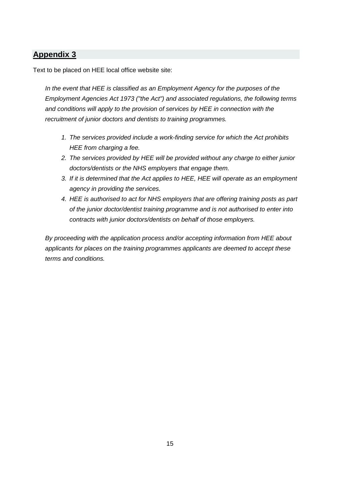<span id="page-14-0"></span>Text to be placed on HEE local office website site:

*In the event that HEE is classified as an Employment Agency for the purposes of the Employment Agencies Act 1973 ("the Act") and associated regulations, the following terms and conditions will apply to the provision of services by HEE in connection with the recruitment of junior doctors and dentists to training programmes.* 

- *1. The services provided include a work-finding service for which the Act prohibits HEE from charging a fee.*
- *2. The services provided by HEE will be provided without any charge to either junior doctors/dentists or the NHS employers that engage them.*
- *3. If it is determined that the Act applies to HEE, HEE will operate as an employment agency in providing the services.*
- *4. HEE is authorised to act for NHS employers that are offering training posts as part of the junior doctor/dentist training programme and is not authorised to enter into contracts with junior doctors/dentists on behalf of those employers.*

*By proceeding with the application process and/or accepting information from HEE about applicants for places on the training programmes applicants are deemed to accept these terms and conditions.*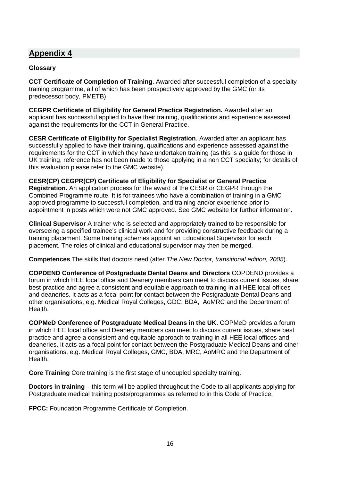#### <span id="page-15-0"></span>**Glossary**

**CCT Certificate of Completion of Training**. Awarded after successful completion of a specialty training programme, all of which has been prospectively approved by the GMC (or its predecessor body, PMETB)

**CEGPR Certificate of Eligibility for General Practice Registration.** Awarded after an applicant has successful applied to have their training, qualifications and experience assessed against the requirements for the CCT in General Practice.

**CESR Certificate of Eligibility for Specialist Registration**. Awarded after an applicant has successfully applied to have their training, qualifications and experience assessed against the requirements for the CCT in which they have undertaken training (as this is a guide for those in UK training, reference has not been made to those applying in a non CCT specialty; for details of this evaluation please refer to the GMC website).

**CESR(CP) CEGPR(CP) Certificate of Eligibility for Specialist or General Practice Registration.** An application process for the award of the CESR or CEGPR through the Combined Programme route. It is for trainees who have a combination of training in a GMC approved programme to successful completion, and training and/or experience prior to appointment in posts which were not GMC approved. See GMC website for further information.

**Clinical Supervisor** A trainer who is selected and appropriately trained to be responsible for overseeing a specified trainee's clinical work and for providing constructive feedback during a training placement. Some training schemes appoint an Educational Supervisor for each placement. The roles of clinical and educational supervisor may then be merged.

**Competences** The skills that doctors need (after *The New Doctor, transitional edition, 2005*).

**COPDEND Conference of Postgraduate Dental Deans and Directors** COPDEND provides a forum in which HEE local office and Deanery members can meet to discuss current issues, share best practice and agree a consistent and equitable approach to training in all HEE local offices and deaneries. It acts as a focal point for contact between the Postgraduate Dental Deans and other organisations, e.g. Medical Royal Colleges, GDC, BDA, AoMRC and the Department of Health.

**COPMeD Conference of Postgraduate Medical Deans in the UK**. COPMeD provides a forum in which HEE local office and Deanery members can meet to discuss current issues, share best practice and agree a consistent and equitable approach to training in all HEE local offices and deaneries. It acts as a focal point for contact between the Postgraduate Medical Deans and other organisations, e.g. Medical Royal Colleges, GMC, BDA, MRC, AoMRC and the Department of Health.

**Core Training** Core training is the first stage of uncoupled specialty training.

**Doctors in training** – this term will be applied throughout the Code to all applicants applying for Postgraduate medical training posts/programmes as referred to in this Code of Practice.

**FPCC:** Foundation Programme Certificate of Completion.